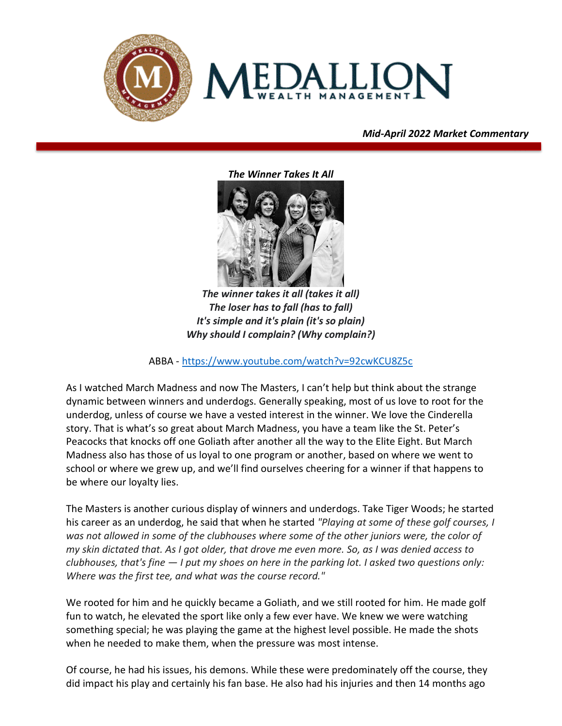



## *Mid-April 2022 Market Commentary*

*vvv*

*The Winner Takes It All*



*The winner takes it all (takes it all) The loser has to fall (has to fall) It's simple and it's plain (it's so plain) Why should I complain? (Why complain?)*

ABBA - <https://www.youtube.com/watch?v=92cwKCU8Z5c>

As I watched March Madness and now The Masters, I can't help but think about the strange dynamic between winners and underdogs. Generally speaking, most of us love to root for the underdog, unless of course we have a vested interest in the winner. We love the Cinderella story. That is what's so great about March Madness, you have a team like the St. Peter's Peacocks that knocks off one Goliath after another all the way to the Elite Eight. But March Madness also has those of us loyal to one program or another, based on where we went to school or where we grew up, and we'll find ourselves cheering for a winner if that happens to be where our loyalty lies.

The Masters is another curious display of winners and underdogs. Take Tiger Woods; he started his career as an underdog, he said that when he started *"Playing at some of these golf courses, I was not allowed in some of the clubhouses where some of the other juniors were, the color of my skin dictated that. As I got older, that drove me even more. So, as I was denied access to clubhouses, that's fine — I put my shoes on here in the parking lot. I asked two questions only: Where was the first tee, and what was the course record."*

We rooted for him and he quickly became a Goliath, and we still rooted for him. He made golf fun to watch, he elevated the sport like only a few ever have. We knew we were watching something special; he was playing the game at the highest level possible. He made the shots when he needed to make them, when the pressure was most intense.

Of course, he had his issues, his demons. While these were predominately off the course, they did impact his play and certainly his fan base. He also had his injuries and then 14 months ago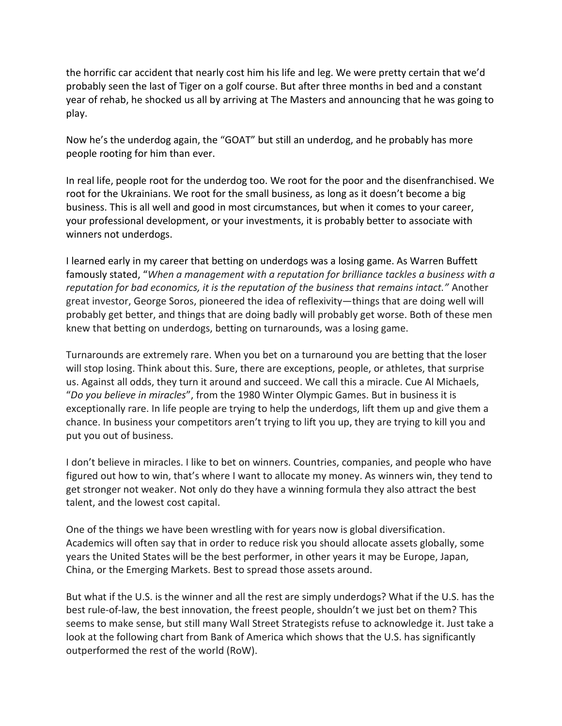the horrific car accident that nearly cost him his life and leg. We were pretty certain that we'd probably seen the last of Tiger on a golf course. But after three months in bed and a constant year of rehab, he shocked us all by arriving at The Masters and announcing that he was going to play.

Now he's the underdog again, the "GOAT" but still an underdog, and he probably has more people rooting for him than ever.

In real life, people root for the underdog too. We root for the poor and the disenfranchised. We root for the Ukrainians. We root for the small business, as long as it doesn't become a big business. This is all well and good in most circumstances, but when it comes to your career, your professional development, or your investments, it is probably better to associate with winners not underdogs.

I learned early in my career that betting on underdogs was a losing game. As Warren Buffett famously stated, "*When a management with a reputation for brilliance tackles a business with a reputation for bad economics, it is the reputation of the business that remains intact."* Another great investor, George Soros, pioneered the idea of reflexivity—things that are doing well will probably get better, and things that are doing badly will probably get worse. Both of these men knew that betting on underdogs, betting on turnarounds, was a losing game.

Turnarounds are extremely rare. When you bet on a turnaround you are betting that the loser will stop losing. Think about this. Sure, there are exceptions, people, or athletes, that surprise us. Against all odds, they turn it around and succeed. We call this a miracle. Cue Al Michaels, "*Do you believe in miracles*", from the 1980 Winter Olympic Games. But in business it is exceptionally rare. In life people are trying to help the underdogs, lift them up and give them a chance. In business your competitors aren't trying to lift you up, they are trying to kill you and put you out of business.

I don't believe in miracles. I like to bet on winners. Countries, companies, and people who have figured out how to win, that's where I want to allocate my money. As winners win, they tend to get stronger not weaker. Not only do they have a winning formula they also attract the best talent, and the lowest cost capital.

One of the things we have been wrestling with for years now is global diversification. Academics will often say that in order to reduce risk you should allocate assets globally, some years the United States will be the best performer, in other years it may be Europe, Japan, China, or the Emerging Markets. Best to spread those assets around.

But what if the U.S. is the winner and all the rest are simply underdogs? What if the U.S. has the best rule-of-law, the best innovation, the freest people, shouldn't we just bet on them? This seems to make sense, but still many Wall Street Strategists refuse to acknowledge it. Just take a look at the following chart from Bank of America which shows that the U.S. has significantly outperformed the rest of the world (RoW).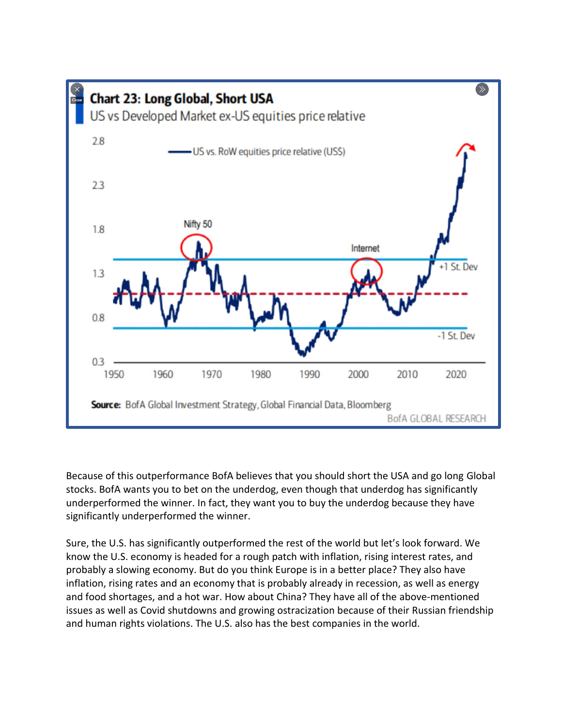

Because of this outperformance BofA believes that you should short the USA and go long Global stocks. BofA wants you to bet on the underdog, even though that underdog has significantly underperformed the winner. In fact, they want you to buy the underdog because they have significantly underperformed the winner.

Sure, the U.S. has significantly outperformed the rest of the world but let's look forward. We know the U.S. economy is headed for a rough patch with inflation, rising interest rates, and probably a slowing economy. But do you think Europe is in a better place? They also have inflation, rising rates and an economy that is probably already in recession, as well as energy and food shortages, and a hot war. How about China? They have all of the above-mentioned issues as well as Covid shutdowns and growing ostracization because of their Russian friendship and human rights violations. The U.S. also has the best companies in the world.